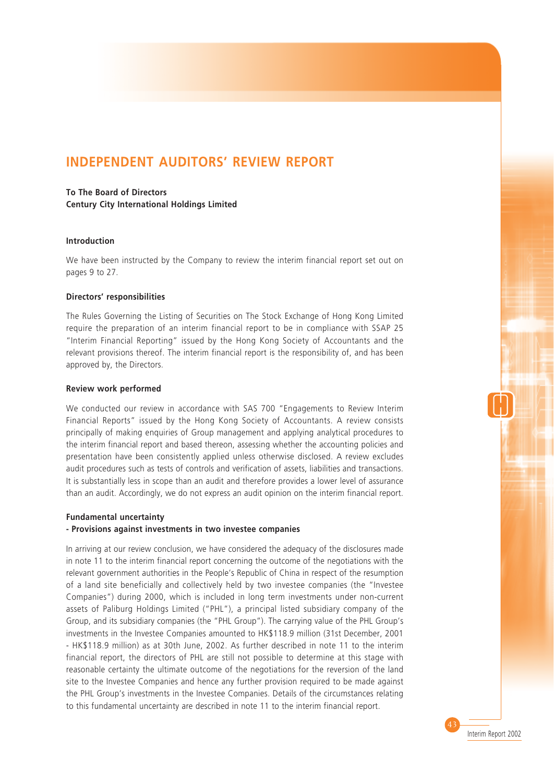# **INDEPENDENT AUDITORS' REVIEW REPORT**

## **To The Board of Directors**

**Century City International Holdings Limited**

#### **Introduction**

We have been instructed by the Company to review the interim financial report set out on pages 9 to 27.

#### **Directors' responsibilities**

The Rules Governing the Listing of Securities on The Stock Exchange of Hong Kong Limited require the preparation of an interim financial report to be in compliance with SSAP 25 "Interim Financial Reporting" issued by the Hong Kong Society of Accountants and the relevant provisions thereof. The interim financial report is the responsibility of, and has been approved by, the Directors.

#### **Review work performed**

We conducted our review in accordance with SAS 700 "Engagements to Review Interim Financial Reports" issued by the Hong Kong Society of Accountants. A review consists principally of making enquiries of Group management and applying analytical procedures to the interim financial report and based thereon, assessing whether the accounting policies and presentation have been consistently applied unless otherwise disclosed. A review excludes audit procedures such as tests of controls and verification of assets, liabilities and transactions. It is substantially less in scope than an audit and therefore provides a lower level of assurance than an audit. Accordingly, we do not express an audit opinion on the interim financial report.

### **Fundamental uncertainty**

### **- Provisions against investments in two investee companies**

In arriving at our review conclusion, we have considered the adequacy of the disclosures made in note 11 to the interim financial report concerning the outcome of the negotiations with the relevant government authorities in the People's Republic of China in respect of the resumption of a land site beneficially and collectively held by two investee companies (the "Investee Companies") during 2000, which is included in long term investments under non-current assets of Paliburg Holdings Limited ("PHL"), a principal listed subsidiary company of the Group, and its subsidiary companies (the "PHL Group"). The carrying value of the PHL Group's investments in the Investee Companies amounted to HK\$118.9 million (31st December, 2001 - HK\$118.9 million) as at 30th June, 2002. As further described in note 11 to the interim financial report, the directors of PHL are still not possible to determine at this stage with reasonable certainty the ultimate outcome of the negotiations for the reversion of the land site to the Investee Companies and hence any further provision required to be made against the PHL Group's investments in the Investee Companies. Details of the circumstances relating to this fundamental uncertainty are described in note 11 to the interim financial report.

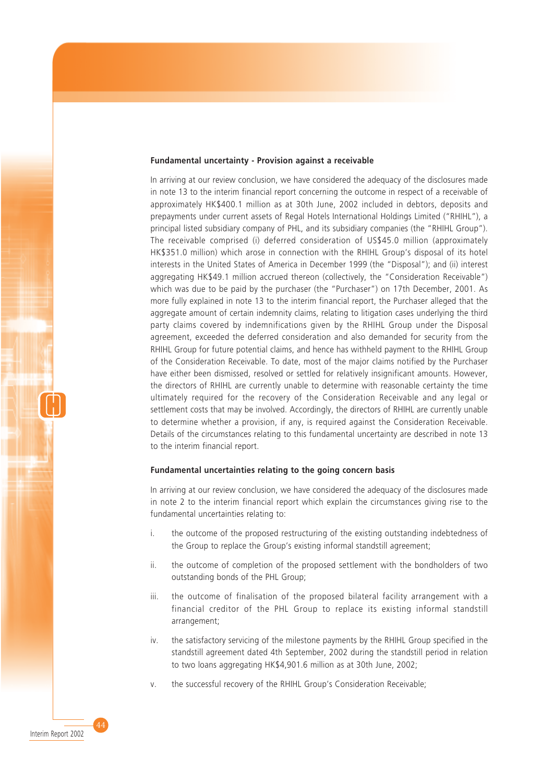#### **Fundamental uncertainty - Provision against a receivable**

In arriving at our review conclusion, we have considered the adequacy of the disclosures made in note 13 to the interim financial report concerning the outcome in respect of a receivable of approximately HK\$400.1 million as at 30th June, 2002 included in debtors, deposits and prepayments under current assets of Regal Hotels International Holdings Limited ("RHIHL"), a principal listed subsidiary company of PHL, and its subsidiary companies (the "RHIHL Group"). The receivable comprised (i) deferred consideration of US\$45.0 million (approximately HK\$351.0 million) which arose in connection with the RHIHL Group's disposal of its hotel interests in the United States of America in December 1999 (the "Disposal"); and (ii) interest aggregating HK\$49.1 million accrued thereon (collectively, the "Consideration Receivable") which was due to be paid by the purchaser (the "Purchaser") on 17th December, 2001. As more fully explained in note 13 to the interim financial report, the Purchaser alleged that the aggregate amount of certain indemnity claims, relating to litigation cases underlying the third party claims covered by indemnifications given by the RHIHL Group under the Disposal agreement, exceeded the deferred consideration and also demanded for security from the RHIHL Group for future potential claims, and hence has withheld payment to the RHIHL Group of the Consideration Receivable. To date, most of the major claims notified by the Purchaser have either been dismissed, resolved or settled for relatively insignificant amounts. However, the directors of RHIHL are currently unable to determine with reasonable certainty the time ultimately required for the recovery of the Consideration Receivable and any legal or settlement costs that may be involved. Accordingly, the directors of RHIHL are currently unable to determine whether a provision, if any, is required against the Consideration Receivable. Details of the circumstances relating to this fundamental uncertainty are described in note 13 to the interim financial report.

#### **Fundamental uncertainties relating to the going concern basis**

In arriving at our review conclusion, we have considered the adequacy of the disclosures made in note 2 to the interim financial report which explain the circumstances giving rise to the fundamental uncertainties relating to:

- i. the outcome of the proposed restructuring of the existing outstanding indebtedness of the Group to replace the Group's existing informal standstill agreement;
- ii. the outcome of completion of the proposed settlement with the bondholders of two outstanding bonds of the PHL Group;
- iii. the outcome of finalisation of the proposed bilateral facility arrangement with a financial creditor of the PHL Group to replace its existing informal standstill arrangement;
- iv. the satisfactory servicing of the milestone payments by the RHIHL Group specified in the standstill agreement dated 4th September, 2002 during the standstill period in relation to two loans aggregating HK\$4,901.6 million as at 30th June, 2002;
- v. the successful recovery of the RHIHL Group's Consideration Receivable;

44